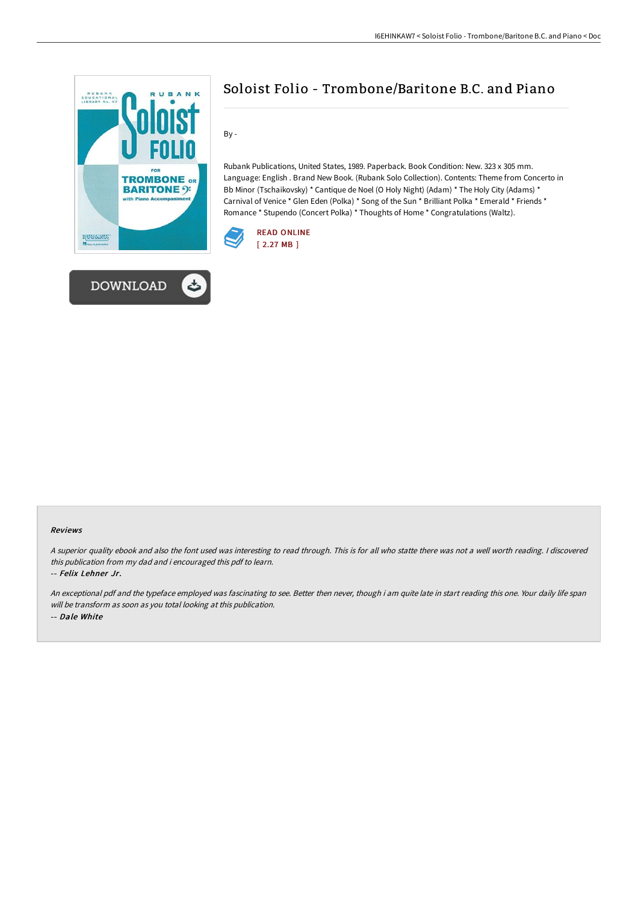



## Soloist Folio - Trombone/Baritone B.C. and Piano

By -

Rubank Publications, United States, 1989. Paperback. Book Condition: New. 323 x 305 mm. Language: English . Brand New Book. (Rubank Solo Collection). Contents: Theme from Concerto in Bb Minor (Tschaikovsky) \* Cantique de Noel (O Holy Night) (Adam) \* The Holy City (Adams) \* Carnival of Venice \* Glen Eden (Polka) \* Song of the Sun \* Brilliant Polka \* Emerald \* Friends \* Romance \* Stupendo (Concert Polka) \* Thoughts of Home \* Congratulations (Waltz).



## Reviews

<sup>A</sup> superior quality ebook and also the font used was interesting to read through. This is for all who statte there was not <sup>a</sup> well worth reading. <sup>I</sup> discovered this publication from my dad and i encouraged this pdf to learn.

-- Felix Lehner Jr.

An exceptional pdf and the typeface employed was fascinating to see. Better then never, though i am quite late in start reading this one. Your daily life span will be transform as soon as you total looking at this publication. -- Dale White